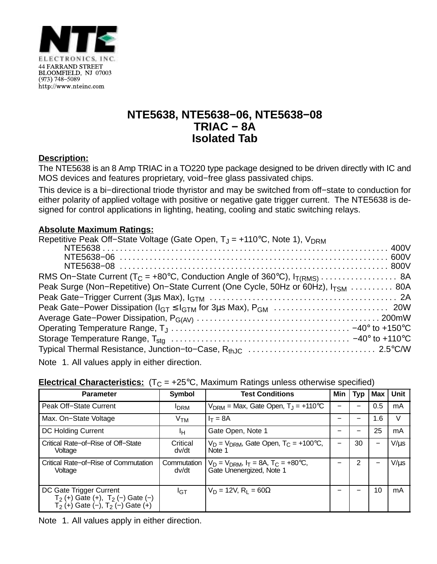

## **NTE5638, NTE5638−06, NTE5638−08 TRIAC − 8A Isolated Tab**

### **Description:**

The NTE5638 is an 8 Amp TRIAC in a TO220 type package designed to be driven directly with IC and MOS devices and features proprietary, void−free glass passivated chips.

This device is a bi−directional triode thyristor and may be switched from off−state to conduction for either polarity of applied voltage with positive or negative gate trigger current. The NTE5638 is designed for control applications in lighting, heating, cooling and static switching relays.

#### **Absolute Maximum Ratings:**

| Repetitive Peak Off-State Voltage (Gate Open, $T_J = +110^{\circ}C$ , Note 1), $V_{DRM}$                                                                                                                                                        |  |
|-------------------------------------------------------------------------------------------------------------------------------------------------------------------------------------------------------------------------------------------------|--|
|                                                                                                                                                                                                                                                 |  |
|                                                                                                                                                                                                                                                 |  |
|                                                                                                                                                                                                                                                 |  |
|                                                                                                                                                                                                                                                 |  |
| Peak Surge (Non-Repetitive) On-State Current (One Cycle, 50Hz or 60Hz), I <sub>TSM</sub> 80A                                                                                                                                                    |  |
|                                                                                                                                                                                                                                                 |  |
|                                                                                                                                                                                                                                                 |  |
|                                                                                                                                                                                                                                                 |  |
|                                                                                                                                                                                                                                                 |  |
|                                                                                                                                                                                                                                                 |  |
|                                                                                                                                                                                                                                                 |  |
| $\mathbf{A} \mathbf{B}$ and $\mathbf{A} \mathbf{B}$ are assumed to the contract of the contract of the contract of the contract of the contract of the contract of the contract of the contract of the contract of the contract of the contract |  |

Note 1. All values apply in either direction.

| <b>Parameter</b>                                                                                            | Symbol               | <b>Test Conditions</b>                                                            | Min | <b>Typ</b> | <b>Max</b> | Unit      |
|-------------------------------------------------------------------------------------------------------------|----------------------|-----------------------------------------------------------------------------------|-----|------------|------------|-----------|
| Peak Off-State Current                                                                                      | <b>I</b> DRM         | $V_{\text{DRM}}$ = Max, Gate Open, $T_{\text{J}}$ = +110 °C                       |     |            | 0.5        | mA        |
| Max. On-State Voltage                                                                                       | V <sub>TM</sub>      | $I_T = 8A$                                                                        |     |            | 1.6        | V         |
| <b>DC Holding Current</b>                                                                                   | Iн                   | Gate Open, Note 1                                                                 |     |            | 25         | mA        |
| Critical Rate-of-Rise of Off-State<br>Voltage                                                               | Critical<br>dv/dt    | $V_D = V_{DRM}$ , Gate Open, T <sub>C</sub> = +100°C,<br>Note 1                   |     | 30         | —          | $V/\mu s$ |
| Critical Rate-of-Rise of Commutation<br>Voltage                                                             | Commutation<br>dv/dt | $V_D = V_{DRM}$ , $I_T = 8A$ , $T_C = +80^{\circ}C$ ,<br>Gate Unenergized, Note 1 |     | 2          | -          | $V/\mu s$ |
| DC Gate Trigger Current<br>$T_2$ (+) Gate (+), $T_2$ (-) Gate (-)<br>$T_2$ (+) Gate (-), $T_2$ (-) Gate (+) | $I_{\text{GT}}$      | $V_D = 12V$ , R <sub>1</sub> = 60 $\Omega$                                        |     |            | 10         | mA        |

#### **Electrical Characteristics:**  $(T_C = +25^{\circ}C$ . Maximum Ratings unless otherwise specified)

Note 1. All values apply in either direction.